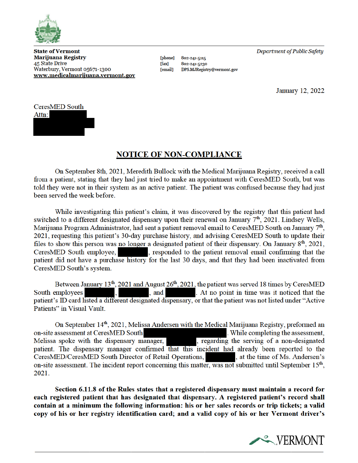

**State of Vermont Marijuana Registry** 45 State Drive Waterbury, Vermont 05671-1300 www.medicalmarijuana.vermont.gov

**[phone]** 802-241-5115  $[{\bf fax}]$ 802-241-5230 [email] DPS.MJRegistry@vermont.gov Department of Public Safety

January 12, 2022



## **NOTICE OF NON-COMPLIANCE**

On September 8th, 2021, Meredith Bullock with the Medical Marijuana Registry, received a call from a patient, stating that they had just tried to make an appointment with CeresMED South, but was told they were not in their system as an active patient. The patient was confused because they had just been served the week before.

While investigating this patient's claim, it was discovered by the registry that this patient had switched to a different designated dispensary upon their renewal on January 7<sup>th</sup>, 2021. Lindsey Wells, Marijuana Program Administrator, had sent a patient removal email to CeresMED South on January 7<sup>th</sup>, 2021, requesting this patient's 30-day purchase history, and advising CeresMED South to update their files to show this person was no longer a designated patient of their dispensary. On January  $8<sup>th</sup>$ , 2021, CeresMED South employee, , responded to the patient removal email confirming that the patient did not have a purchase history for the last 30 days, and that they had been inactivated from CeresMED South's system.

Between January 13<sup>th</sup>, 2021 and August 26<sup>th</sup>, 2021, the patient was served 18 times by CeresMED , and . At no point in time was it noticed that the South employees patient's ID card listed a different designated dispensary, or that the patient was not listed under "Active" Patients" in Visual Vault.

On September 14<sup>th</sup>, 2021, Melissa Andersen with the Medical Marijuana Registry, preformed an on-site assessment at CeresMED South . While completing the assessment, Melissa spoke with the dispensary manager, , regarding the serving of a non-designated patient. The dispensary manager confirmed that this incident had already been reported to the CeresMED/CeresMED South Director of Retail Operations, , at the time of Ms. Andersen's on-site assessment. The incident report concerning this matter, was not submitted until September 15<sup>th</sup>, 2021.

Section 6.11.8 of the Rules states that a registered dispensary must maintain a record for each registered patient that has designated that dispensary. A registered patient's record shall contain at a minimum the following information: his or her sales records or trip tickets; a valid copy of his or her registry identification card; and a valid copy of his or her Vermont driver's